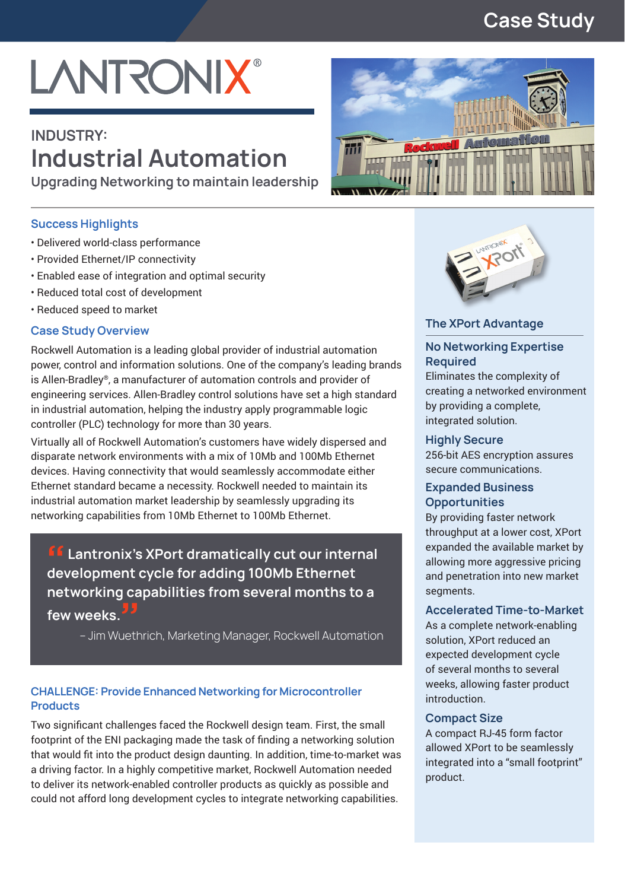### **Case Study**

# **LANTRONIX®**

## **INDUSTRY: Industrial Automation**

**Upgrading Networking to maintain leadership**

#### **Success Highlights**

- Delivered world-class performance
- Provided Ethernet/IP connectivity
- Enabled ease of integration and optimal security
- Reduced total cost of development
- Reduced speed to market

#### **Case Study Overview**

Rockwell Automation is a leading global provider of industrial automation power, control and information solutions. One of the company's leading brands is Allen-Bradley®, a manufacturer of automation controls and provider of engineering services. Allen-Bradley control solutions have set a high standard in industrial automation, helping the industry apply programmable logic controller (PLC) technology for more than 30 years.

Virtually all of Rockwell Automation's customers have widely dispersed and disparate network environments with a mix of 10Mb and 100Mb Ethernet devices. Having connectivity that would seamlessly accommodate either Ethernet standard became a necessity. Rockwell needed to maintain its industrial automation market leadership by seamlessly upgrading its networking capabilities from 10Mb Ethernet to 100Mb Ethernet.

**ff** Lantronix's XPort dramatically cut our internal **development cycle for adding 100Mb Ethernet networking capabilities from several months to a**  few weeks.

– Jim Wuethrich, Marketing Manager, Rockwell Automation

#### **CHALLENGE: Provide Enhanced Networking for Microcontroller Products**

Two significant challenges faced the Rockwell design team. First, the small footprint of the ENI packaging made the task of finding a networking solution that would fit into the product design daunting. In addition, time-to-market was a driving factor. In a highly competitive market, Rockwell Automation needed to deliver its network-enabled controller products as quickly as possible and could not afford long development cycles to integrate networking capabilities.





#### **The XPort Advantage**

#### **No Networking Expertise Required**

Eliminates the complexity of creating a networked environment by providing a complete, integrated solution.

#### **Highly Secure**

256-bit AES encryption assures secure communications.

#### **Expanded Business Opportunities**

By providing faster network throughput at a lower cost, XPort expanded the available market by allowing more aggressive pricing and penetration into new market segments.

#### **Accelerated Time-to-Market**

As a complete network-enabling solution, XPort reduced an expected development cycle of several months to several weeks, allowing faster product introduction.

#### **Compact Size**

A compact RJ-45 form factor allowed XPort to be seamlessly integrated into a "small footprint" product.